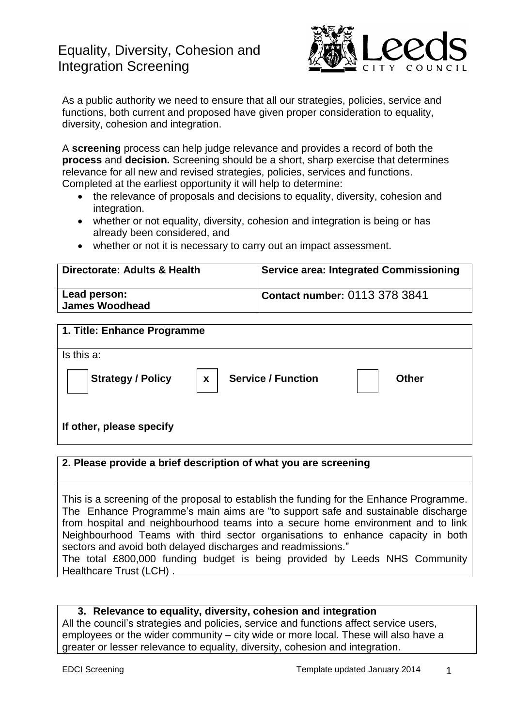## Equality, Diversity, Cohesion and Integration Screening



As a public authority we need to ensure that all our strategies, policies, service and functions, both current and proposed have given proper consideration to equality, diversity, cohesion and integration.

A **screening** process can help judge relevance and provides a record of both the **process** and **decision.** Screening should be a short, sharp exercise that determines relevance for all new and revised strategies, policies, services and functions. Completed at the earliest opportunity it will help to determine:

- the relevance of proposals and decisions to equality, diversity, cohesion and integration.
- whether or not equality, diversity, cohesion and integration is being or has already been considered, and
- whether or not it is necessary to carry out an impact assessment.

| Directorate: Adults & Health          | <b>Service area: Integrated Commissioning</b> |
|---------------------------------------|-----------------------------------------------|
| Lead person:<br><b>James Woodhead</b> | Contact number: 0113 378 3841                 |

# **1. Title: Enhance Programme** Is this a: **Strategy / Policy | x | Service / Function | | Other If other, please specify x**

### **2. Please provide a brief description of what you are screening**

This is a screening of the proposal to establish the funding for the Enhance Programme. The Enhance Programme's main aims are "to support safe and sustainable discharge from hospital and neighbourhood teams into a secure home environment and to link Neighbourhood Teams with third sector organisations to enhance capacity in both sectors and avoid both delayed discharges and readmissions."

The total £800,000 funding budget is being provided by Leeds NHS Community Healthcare Trust (LCH) .

### **3. Relevance to equality, diversity, cohesion and integration**

All the council's strategies and policies, service and functions affect service users, employees or the wider community – city wide or more local. These will also have a greater or lesser relevance to equality, diversity, cohesion and integration.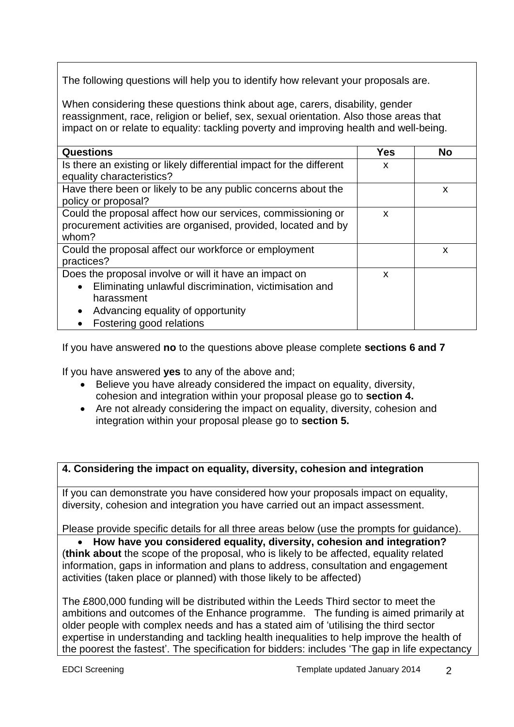The following questions will help you to identify how relevant your proposals are.

When considering these questions think about age, carers, disability, gender reassignment, race, religion or belief, sex, sexual orientation. Also those areas that impact on or relate to equality: tackling poverty and improving health and well-being.

| <b>Questions</b>                                                     | Yes | <b>No</b> |
|----------------------------------------------------------------------|-----|-----------|
| Is there an existing or likely differential impact for the different | X   |           |
| equality characteristics?                                            |     |           |
| Have there been or likely to be any public concerns about the        |     | X         |
| policy or proposal?                                                  |     |           |
| Could the proposal affect how our services, commissioning or         | X   |           |
| procurement activities are organised, provided, located and by       |     |           |
| whom?                                                                |     |           |
| Could the proposal affect our workforce or employment                |     | X         |
| practices?                                                           |     |           |
| Does the proposal involve or will it have an impact on               | X   |           |
| Eliminating unlawful discrimination, victimisation and<br>$\bullet$  |     |           |
| harassment                                                           |     |           |
| Advancing equality of opportunity                                    |     |           |
| Fostering good relations                                             |     |           |

If you have answered **no** to the questions above please complete **sections 6 and 7**

If you have answered **yes** to any of the above and;

- Believe you have already considered the impact on equality, diversity, cohesion and integration within your proposal please go to **section 4.**
- Are not already considering the impact on equality, diversity, cohesion and integration within your proposal please go to **section 5.**

### **4. Considering the impact on equality, diversity, cohesion and integration**

If you can demonstrate you have considered how your proposals impact on equality, diversity, cohesion and integration you have carried out an impact assessment.

Please provide specific details for all three areas below (use the prompts for guidance).

**How have you considered equality, diversity, cohesion and integration?**

(**think about** the scope of the proposal, who is likely to be affected, equality related information, gaps in information and plans to address, consultation and engagement activities (taken place or planned) with those likely to be affected)

The £800,000 funding will be distributed within the Leeds Third sector to meet the ambitions and outcomes of the Enhance programme. The funding is aimed primarily at older people with complex needs and has a stated aim of 'utilising the third sector expertise in understanding and tackling health inequalities to help improve the health of the poorest the fastest'. The specification for bidders: includes 'The gap in life expectancy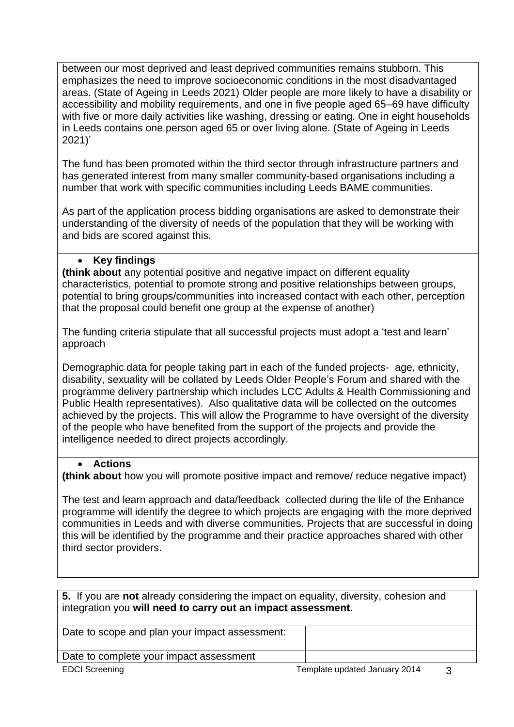between our most deprived and least deprived communities remains stubborn. This emphasizes the need to improve socioeconomic conditions in the most disadvantaged areas. (State of Ageing in Leeds 2021) Older people are more likely to have a disability or accessibility and mobility requirements, and one in five people aged 65–69 have difficulty with five or more daily activities like washing, dressing or eating. One in eight households in Leeds contains one person aged 65 or over living alone. (State of Ageing in Leeds 2021)'

The fund has been promoted within the third sector through infrastructure partners and has generated interest from many smaller community-based organisations including a number that work with specific communities including Leeds BAME communities.

As part of the application process bidding organisations are asked to demonstrate their understanding of the diversity of needs of the population that they will be working with and bids are scored against this.

### **Key findings**

**(think about** any potential positive and negative impact on different equality characteristics, potential to promote strong and positive relationships between groups, potential to bring groups/communities into increased contact with each other, perception that the proposal could benefit one group at the expense of another)

The funding criteria stipulate that all successful projects must adopt a 'test and learn' approach

Demographic data for people taking part in each of the funded projects- age, ethnicity, disability, sexuality will be collated by Leeds Older People's Forum and shared with the programme delivery partnership which includes LCC Adults & Health Commissioning and Public Health representatives). Also qualitative data will be collected on the outcomes achieved by the projects. This will allow the Programme to have oversight of the diversity of the people who have benefited from the support of the projects and provide the intelligence needed to direct projects accordingly.

### **Actions**

**(think about** how you will promote positive impact and remove/ reduce negative impact)

The test and learn approach and data/feedback collected during the life of the Enhance programme will identify the degree to which projects are engaging with the more deprived communities in Leeds and with diverse communities. Projects that are successful in doing this will be identified by the programme and their practice approaches shared with other third sector providers.

**5.** If you are **not** already considering the impact on equality, diversity, cohesion and integration you **will need to carry out an impact assessment**.

| Date to scope and plan your impact assessment: |  |
|------------------------------------------------|--|
| Date to complete your impact assessment        |  |